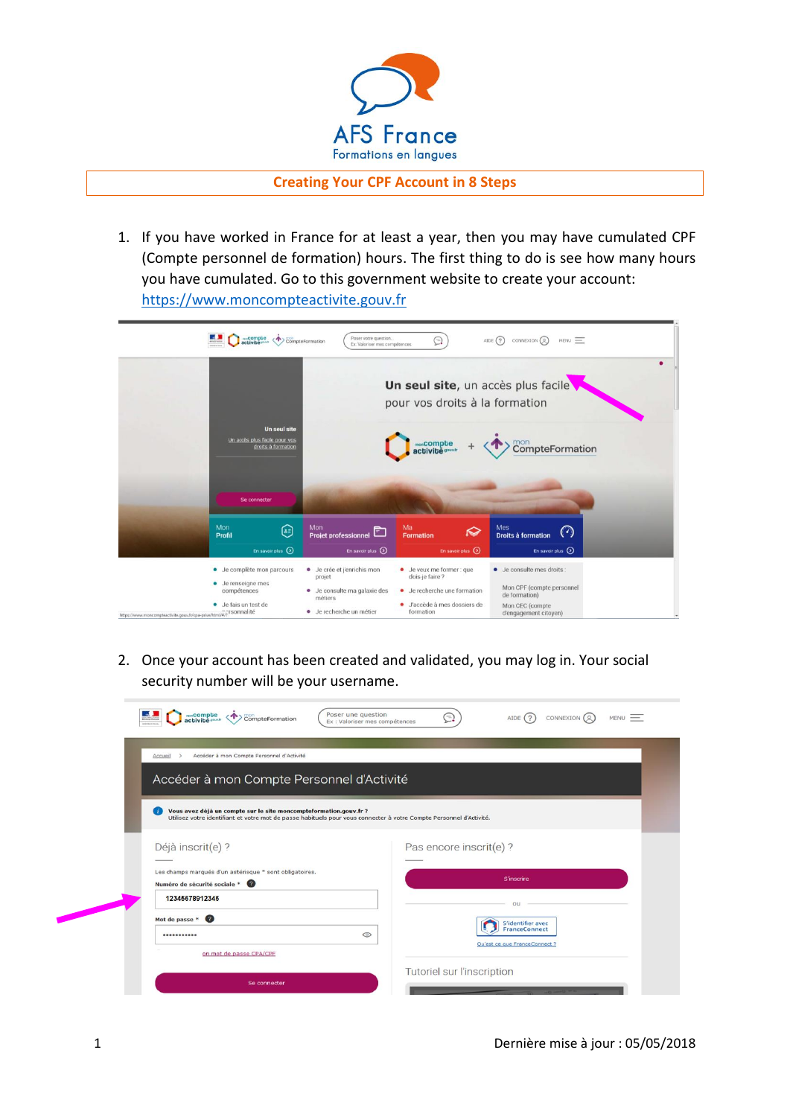

**Creating Your CPF Account in 8 Steps**

1. If you have worked in France for at least a year, then you may have cumulated CPF (Compte personnel de formation) hours. The first thing to do is see how many hours you have cumulated. Go to this government website to create your account: [https://www.moncompteactivite.gouv.fr](https://www.moncompteactivite.gouv.fr/)



2. Once your account has been created and validated, you may log in. Your social security number will be your username.

| Poser une question<br>monCompte<br>activité gouv.n<br>CompteFormation<br>Ex : Valoriser mes compétences                                                                                  | Ξ.<br>CONNEXION (Q)<br>AIDE $(2)$<br>MENU                           |
|------------------------------------------------------------------------------------------------------------------------------------------------------------------------------------------|---------------------------------------------------------------------|
| Accéder à mon Compte Personnel d'Activité<br>Accueil<br>$\rightarrow$                                                                                                                    |                                                                     |
| Accéder à mon Compte Personnel d'Activité                                                                                                                                                |                                                                     |
| Vous avez déjà un compte sur le site moncompteformation.gouv.fr ?<br>Utilisez votre identifiant et votre mot de passe habituels pour vous connecter à votre Compte Personnel d'Activité. |                                                                     |
| Déjà inscrit(e) ?                                                                                                                                                                        | Pas encore inscrit(e)?                                              |
| Les champs marqués d'un astérisque = sont obligatoires.<br>Numéro de sécurité sociale *                                                                                                  | <b>S'inscrire</b>                                                   |
| 12345678912345                                                                                                                                                                           | ou                                                                  |
| Mot de passe * <sup>0</sup><br>$\circ$<br>                                                                                                                                               | S'identifier avec<br>FranceConnect<br>Qu'est ce que FranceConnect ? |
| on mot de passe CPA/CPE                                                                                                                                                                  |                                                                     |
| Se connecter                                                                                                                                                                             | Tutoriel sur l'inscription                                          |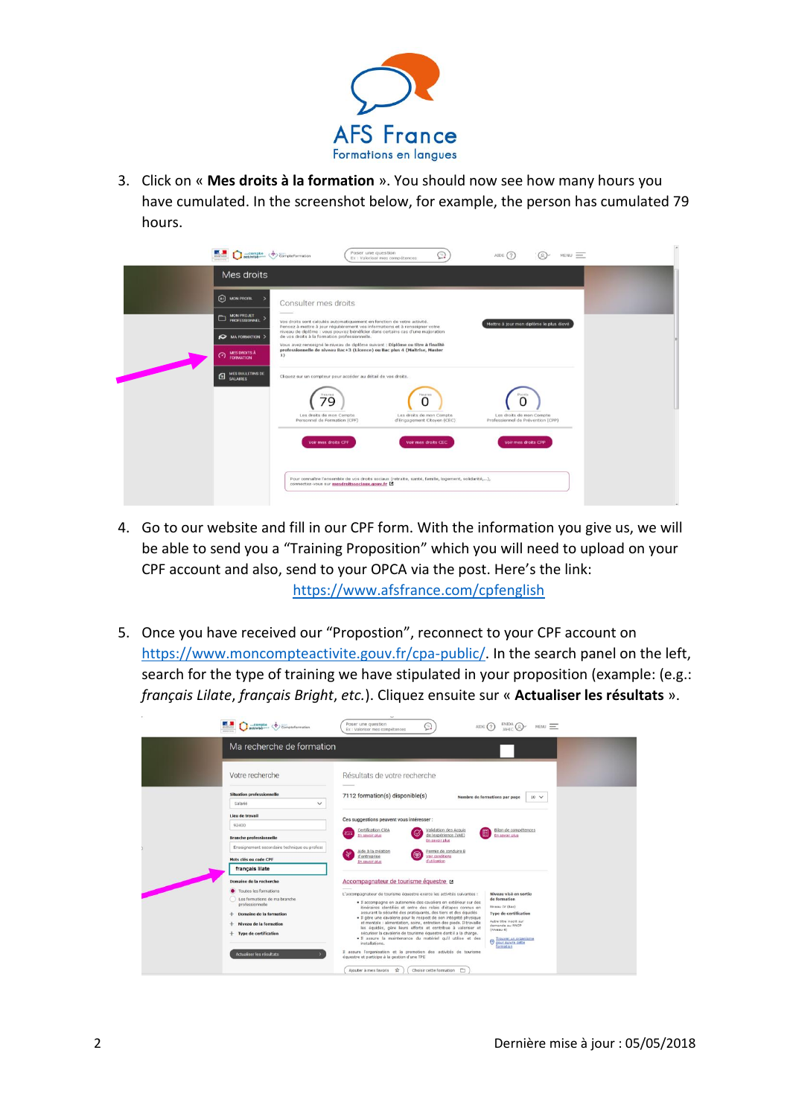

3. Click on « **Mes droits à la formation** ». You should now see how many hours you have cumulated. In the screenshot below, for example, the person has cumulated 79 hours.

|                                               | Poser une question<br>activities <<<<< CompteFormation<br>AIDE $(?)$<br>$MENU =$<br>Ex : Valoriser mes compétences                                                                                                 |  |
|-----------------------------------------------|--------------------------------------------------------------------------------------------------------------------------------------------------------------------------------------------------------------------|--|
| Mes droits                                    |                                                                                                                                                                                                                    |  |
| $\Omega$ MON PROFIL                           | Consulter mes droits                                                                                                                                                                                               |  |
| MON PROJET > PROFESSIONNEL >                  | Vos droits sont calculés automatiquement en fonction de votre activité.<br>Mettre à jour mon diplôme le plus élevé<br>Pensez à mettre à jour régulièrement vos informations et à renseigner votre                  |  |
| MA FORMATION >                                | niveau de diplôme : vous pouvez bénéficier dans certains cas d'une majoration<br>de vos droits à la formation professionnelle.                                                                                     |  |
| <b>MES DROITS À</b><br><b>C</b> FORMATION     | Vous avez renseigné le niveau de diplôme suivant : Diplôme ou titre à finalité<br>professionnelle de niveau Bac+3 (Licence) ou Bac plus 4 (Maîtrise, Master<br>1)                                                  |  |
| <b>MES BULLETINS DE</b><br><b>EL SALAIRES</b> | Cliquez sur un compteur pour accéder au détail de vos droits.                                                                                                                                                      |  |
|                                               | Heures<br>Hauras<br>O<br>79<br>Les droits de mon Compte<br>Les droits de mon Compte<br>Les droits de mon Compte<br>Personnel de Formation (CPF)<br>d'Engagement Citoyen (CEC)<br>Professionnel de Prévention (CPP) |  |
|                                               | Voir mes droits CEC<br>Voir mes droits CPF<br>Voir mes droits CPP                                                                                                                                                  |  |
|                                               | Pour connaître l'ensemble de vos droits sociaux (retraite, santé, famille, logement, solidarité,),<br>connectez-vous sur mesdroitssociaux.gouv.fr                                                                  |  |

- 4. Go to our website and fill in our CPF form. With the information you give us, we will be able to send you a "Training Proposition" which you will need to upload on your CPF account and also, send to your OPCA via the post. Here's the link: <https://www.afsfrance.com/cpfenglish>
- 5. Once you have received our "Propostion", reconnect to your CPF account on [https://www.moncompteactivite.gouv.fr/cpa-public/.](https://www.moncompteactivite.gouv.fr/cpa-public/) In the search panel on the left, search for the type of training we have stipulated in your proposition (example: (e.g.: *français Lilate*, *français Bright*, *etc.*). Cliquez ensuite sur « **Actualiser les résultats** ».

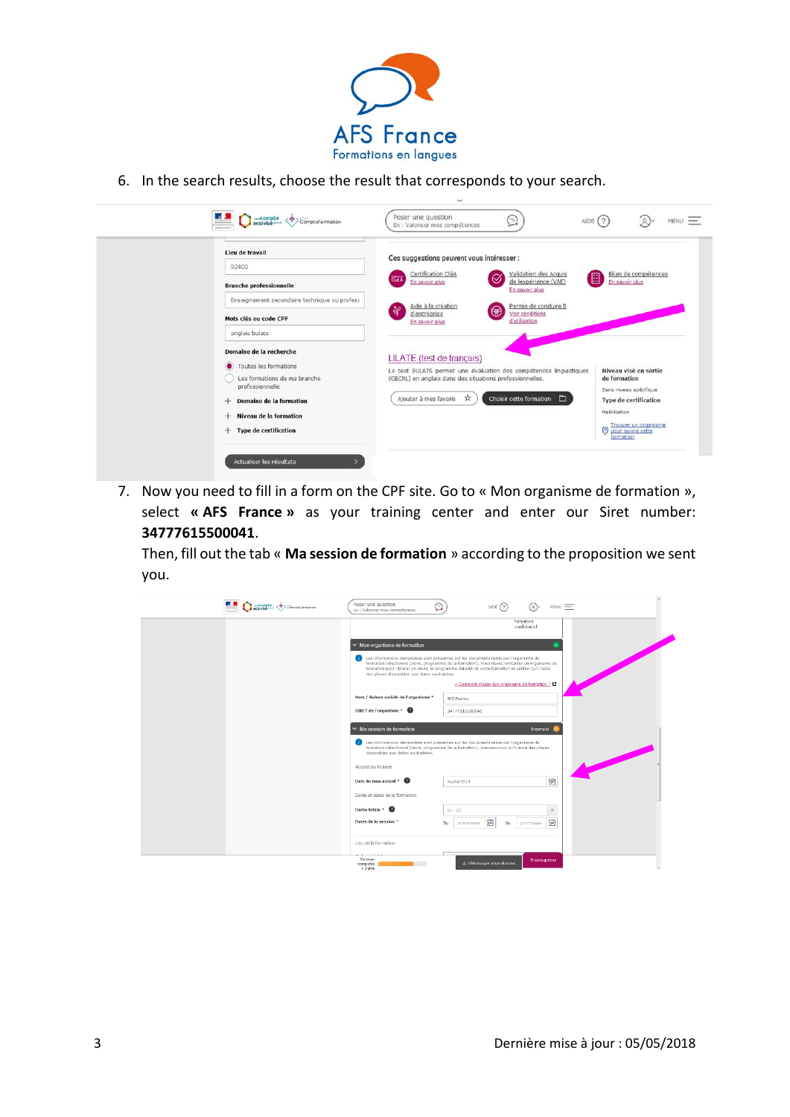

6. In the search results, choose the result that corresponds to your search.

|                                                                          | Lieu de travail<br>92400                                                                                                       | Ces suggestions peuvent vous intéresser :                                                                            |                                                                        |
|--------------------------------------------------------------------------|--------------------------------------------------------------------------------------------------------------------------------|----------------------------------------------------------------------------------------------------------------------|------------------------------------------------------------------------|
| <b>Branche professionnelle</b>                                           |                                                                                                                                | Certification CléA<br>Validation des Acquis<br>Ø<br>CLEA<br>de lexpérience (VAE)<br>En savoir plus<br>En savoir plus | Bilan de compétences<br>⊞<br>En savoir plus                            |
|                                                                          | Enseignement secondaire technique ou profess                                                                                   | Aide à la création<br>Permis de conduire B<br>$\frac{30}{2}$<br>$\circledast$<br>Voir conditions<br>d'entreprise     |                                                                        |
|                                                                          | Mots clés ou code CPF<br>anglais bulats                                                                                        | d'utilisation<br>En savoir plus                                                                                      |                                                                        |
|                                                                          | Domaine de la recherche                                                                                                        | LILATE (test de français)                                                                                            |                                                                        |
| Toutes les formations<br>Les formations de ma branche<br>professionnelle | Le test BULATS permet une évaluation des compétences linguistiques<br>(CECRL) en anglais dans des situations professionnelles. | Niveau visé en sortie<br>de formation                                                                                |                                                                        |
|                                                                          | Domaine de la formation<br>$+$                                                                                                 | Choisir cette formation<br>☆<br>Ajouter à mes favoris<br>$\Box$                                                      | Sans niveau spécifique<br><b>Type de certification</b><br>Habilitation |
|                                                                          | Niveau de la formation<br>÷<br><b>Type de certification</b><br>÷                                                               |                                                                                                                      | Trouver un organisme<br>$\circ$<br>pour suivre cette<br>formation      |

7. Now you need to fill in a form on the CPF site. Go to « Mon organisme de formation », select **« AFS France »** as your training center and enter our Siret number: **34777615500041**.

Then, fill out the tab « **Ma session de formation** » according to the proposition we sent you.

| actività Compte Compteremention | Poser une question<br>⊜<br>AIDE $(2)$<br>$MENU =$<br>(R)<br>Ex : Valoriser mes compétences                                                                                                                                                                                                                                                                                                                                               |
|---------------------------------|------------------------------------------------------------------------------------------------------------------------------------------------------------------------------------------------------------------------------------------------------------------------------------------------------------------------------------------------------------------------------------------------------------------------------------------|
|                                 | formation<br>confidentiel                                                                                                                                                                                                                                                                                                                                                                                                                |
|                                 | $\vee$ Mon organisme de formation<br>(1) Les informations demandées sont présentes sur les documents remis par l'organisme de<br>formation sélectionné (devis, programme de la formation). Vous devez contacter un organisme de<br>formation pour obtenir un devis, le programme détaillé de votre formation et vérifier qu'il reste<br>des places disponibles aux dates souhaitées.<br>> Comment choisir son organisme de formation ? E |
|                                 | Nom / Raison sociale de l'organisme *<br><b>AFS France</b><br>STRET de l'organisme * <sup>2</sup><br>34777615500041                                                                                                                                                                                                                                                                                                                      |
|                                 | $\vee$ Ma session de formation<br>Incomplet<br>Les informations demandées sont présentes sur les documents remis par l'organisme de<br>formation sélectionné (devis, programme de la formation). Assurez-vous qu'il reste des places<br>disponibles aux dates soubaitées.                                                                                                                                                                |
|                                 | Accord du titulaire<br>鵲<br>Date de mon accord *<br>04/06/2018                                                                                                                                                                                                                                                                                                                                                                           |
|                                 | Durée et dates de la formation<br>Durée totale * <sup>0</sup><br>h<br>Ex:23<br>酬<br>冊<br>Dates de la session *<br>jj/mm/aaaa<br>Du<br>ji/mm/aaaa<br>Au                                                                                                                                                                                                                                                                                   |
|                                 | Lieu de la formation                                                                                                                                                                                                                                                                                                                                                                                                                     |
|                                 | Dossier<br><b>B</b> Enregistrer<br>L Telécharger mon dossier<br>complété<br>3.72%                                                                                                                                                                                                                                                                                                                                                        |